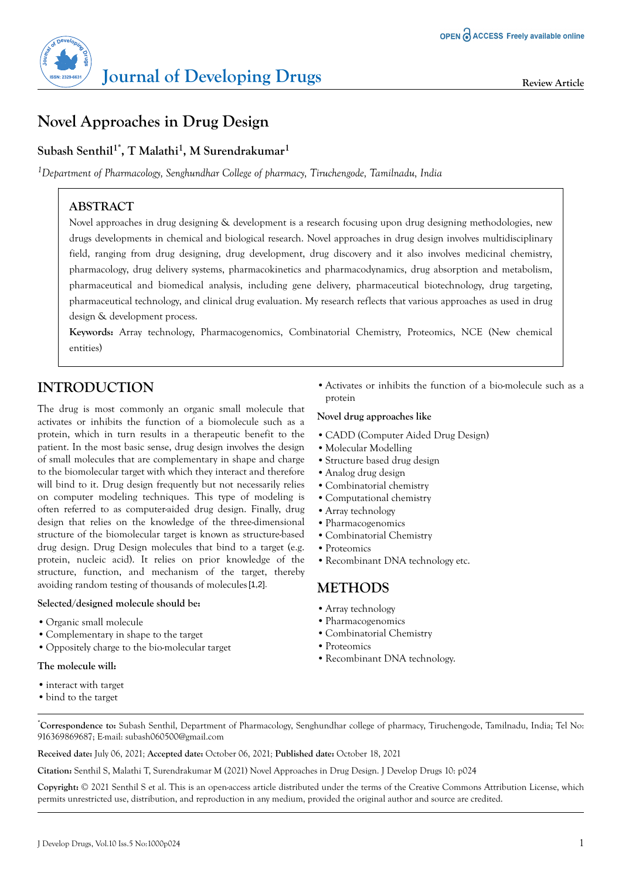

# **Novel Approaches in Drug Design**

## **Subash Senthil1\*, T Malathi<sup>1</sup> , M Surendrakumar<sup>1</sup>**

*<sup>1</sup>Department of Pharmacology, Senghundhar College of pharmacy, Tiruchengode, Tamilnadu, India*

## **ABSTRACT**

Novel approaches in drug designing & development is a research focusing upon drug designing methodologies, new drugs developments in chemical and biological research. Novel approaches in drug design involves multidisciplinary field, ranging from drug designing, drug development, drug discovery and it also involves medicinal chemistry, pharmacology, drug delivery systems, pharmacokinetics and pharmacodynamics, drug absorption and metabolism, pharmaceutical and biomedical analysis, including gene delivery, pharmaceutical biotechnology, drug targeting, pharmaceutical technology, and clinical drug evaluation. My research reflects that various approaches as used in drug design & development process.

**Keywords:** Array technology, Pharmacogenomics, Combinatorial Chemistry, Proteomics, NCE (New chemical entities)

## **INTRODUCTION**

The drug is most commonly an organic small molecule that activates or inhibits the function of a biomolecule such as a protein, which in turn results in a therapeutic benefit to the patient. In the most basic sense, drug design involves the design of small molecules that are complementary in shape and charge to the biomolecular target with which they interact and therefore will bind to it. Drug design frequently but not necessarily relies on computer modeling techniques. This type of modeling is often referred to as computer-aided drug design. Finally, drug design that relies on the knowledge of the three-dimensional structure of the biomolecular target is known as structure-based drug design. Drug Design molecules that bind to a target (e.g. protein, nucleic acid). It relies on prior knowledge of the structure, function, and mechanism of the target, thereby avoiding random testing of thousands of molecules [1,2].

#### **Selected/designed molecule should be:**

- **•**Organic small molecule
- **•**Complementary in shape to the target
- **•**Oppositely charge to the bio-molecular target

#### **The molecule will:**

- **•**interact with target
- **•**bind to the target

**•**Activates or inhibits the function of a bio-molecule such as a protein

#### **Novel drug approaches like**

- **•**CADD (Computer Aided Drug Design)
- **•**Molecular Modelling
- **•**Structure based drug design
- **•**Analog drug design
- **•**Combinatorial chemistry
- **•**Computational chemistry
- **•**Array technology
- **•**Pharmacogenomics
- **•**Combinatorial Chemistry
- **•**Proteomics
- **•**Recombinant DNA technology etc.

### **METHODS**

- **•**Array technology
- **•**Pharmacogenomics
- **•**Combinatorial Chemistry
- **•**Proteomics
- **•**Recombinant DNA technology.
- \***Correspondence to:** Subash Senthil, Department of Pharmacology, Senghundhar college of pharmacy, Tiruchengode, Tamilnadu, India; Tel No: 916369869687; E-mail: subash060500@gmail.com

**Received date:** July 06, 2021*;* **Accepted date:** October 06, 2021*;* **Published date:** October 18, 2021

**Citation:** Senthil S, Malathi T, Surendrakumar M (2021) Novel Approaches in Drug Design. J Develop Drugs 10: p024

**Copyright:** © 2021 Senthil S et al. This is an open-access article distributed under the terms of the Creative Commons Attribution License, which permits unrestricted use, distribution, and reproduction in any medium, provided the original author and source are credited.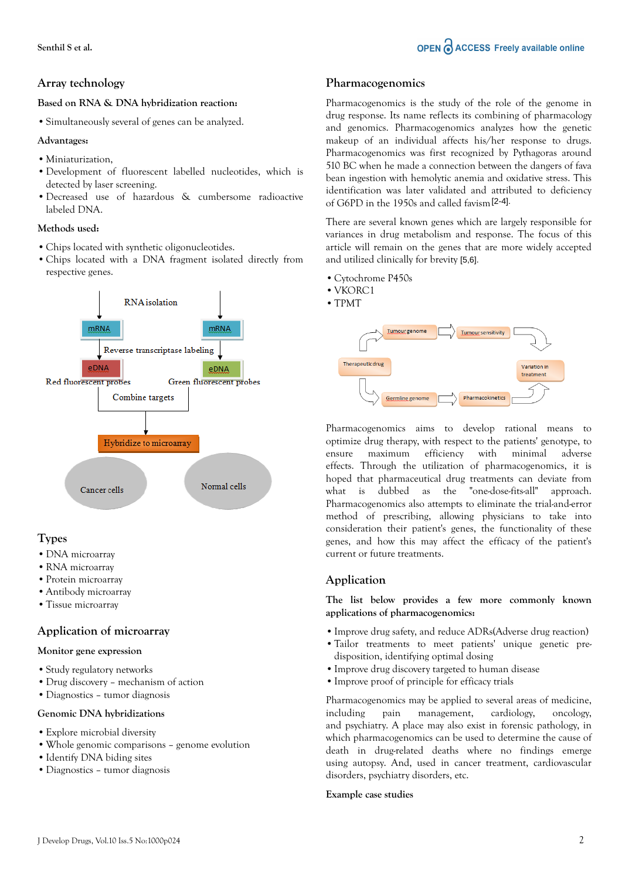## **Array technology**

#### **Based on RNA & DNA hybridization reaction:**

**•**Simultaneously several of genes can be analyzed.

#### **Advantages:**

- **•**Miniaturization,
- **•**Development of fluorescent labelled nucleotides, which is detected by laser screening.
- **•**Decreased use of hazardous & cumbersome radioactive labeled DNA.

#### **Methods used:**

- **•**Chips located with synthetic oligonucleotides.
- **•**Chips located with a DNA fragment isolated directly from respective genes.



## **Types**

- **•**DNA microarray
- **•**RNA microarray
- **•**Protein microarray
- **•**Antibody microarray
- **•**Tissue microarray

## **Application of microarray**

#### **Monitor gene expression**

- **•**Study regulatory networks
- **•**Drug discovery mechanism of action
- **•**Diagnostics tumor diagnosis

#### **Genomic DNA hybridizations**

- **•**Explore microbial diversity
- **•**Whole genomic comparisons genome evolution
- **•**Identify DNA biding sites
- **•**Diagnostics tumor diagnosis

### **Pharmacogenomics**

Pharmacogenomics is the study of the role of the genome in drug response. Its name reflects its combining of pharmacology and genomics. Pharmacogenomics analyzes how the genetic makeup of an individual affects his/her response to drugs. Pharmacogenomics was first recognized by Pythagoras around 510 BC when he made a connection between the dangers of fava bean ingestion with hemolytic anemia and oxidative stress. This identification was later validated and attributed to deficiency of G6PD in the 1950s and called favism [2-4].

There are several known genes which are largely responsible for variances in drug metabolism and response. The focus of this article will remain on the genes that are more widely accepted and utilized clinically for brevity [5,6].

- **•**Cytochrome P450s
- **•**VKORC1
- **•**TPMT



Pharmacogenomics aims to develop rational means to optimize drug therapy, with respect to the patients' genotype, to ensure maximum efficiency with minimal adverse effects. Through the utilization of pharmacogenomics, it is hoped that pharmaceutical drug treatments can deviate from what is dubbed as the "one-dose-fits-all" approach. Pharmacogenomics also attempts to eliminate the trial-and-error method of prescribing, allowing physicians to take into consideration their patient's genes, the functionality of these genes, and how this may affect the efficacy of the patient's current or future treatments.

## **Application**

**The list below provides a few more commonly known applications of pharmacogenomics:**

- **•**Improve drug safety, and reduce ADRs(Adverse drug reaction)
- **•**Tailor treatments to meet patients' unique genetic predisposition, identifying optimal dosing
- **•**Improve drug discovery targeted to human disease
- **•**Improve proof of principle for efficacy trials

Pharmacogenomics may be applied to several areas of medicine, including pain management, cardiology, oncology, and psychiatry. A place may also exist in forensic pathology, in which pharmacogenomics can be used to determine the cause of death in drug-related deaths where no findings emerge using autopsy. And, used in cancer treatment, cardiovascular disorders, psychiatry disorders, etc.

#### **Example case studies**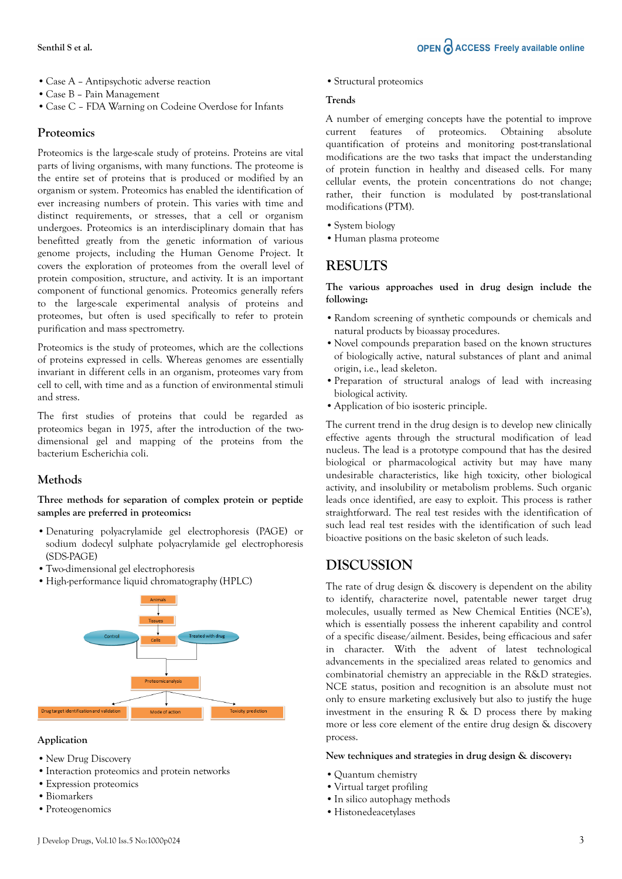- **•**Case A Antipsychotic adverse reaction
- **•**Case B Pain Management
- **•**Case C FDA Warning on Codeine Overdose for Infants

#### **Proteomics**

Proteomics is the large-scale study of proteins. Proteins are vital parts of living organisms, with many functions. The proteome is the entire set of proteins that is produced or modified by an organism or system. Proteomics has enabled the identification of ever increasing numbers of protein. This varies with time and distinct requirements, or stresses, that a cell or organism undergoes. Proteomics is an interdisciplinary domain that has benefitted greatly from the genetic information of various genome projects, including the Human Genome Project. It covers the exploration of proteomes from the overall level of protein composition, structure, and activity. It is an important component of functional genomics. Proteomics generally refers to the large-scale experimental analysis of proteins and proteomes, but often is used specifically to refer to protein purification and mass spectrometry.

Proteomics is the study of proteomes, which are the collections of proteins expressed in cells. Whereas genomes are essentially invariant in different cells in an organism, proteomes vary from cell to cell, with time and as a function of environmental stimuli and stress.

The first studies of proteins that could be regarded as proteomics began in 1975, after the introduction of the twodimensional gel and mapping of the proteins from the bacterium Escherichia coli.

#### **Methods**

**Three methods for separation of complex protein or peptide samples are preferred in proteomics:**

- **•**Denaturing polyacrylamide gel electrophoresis (PAGE) or sodium dodecyl sulphate polyacrylamide gel electrophoresis (SDS-PAGE)
- **•**Two-dimensional gel electrophoresis
- **•**High-performance liquid chromatography (HPLC)



#### **Application**

- **•**New Drug Discovery
- **•**Interaction proteomics and protein networks
- **•**Expression proteomics
- **•**Biomarkers
- **•**Proteogenomics

**•**Structural proteomics

#### **Trends**

A number of emerging concepts have the potential to improve current features of proteomics. Obtaining absolute quantification of proteins and monitoring post-translational modifications are the two tasks that impact the understanding of protein function in healthy and diseased cells. For many cellular events, the protein concentrations do not change; rather, their function is modulated by post-translational modifications (PTM).

- **•**System biology
- **•**Human plasma proteome

## **RESULTS**

**The various approaches used in drug design include the following:**

- **•**Random screening of synthetic compounds or chemicals and natural products by bioassay procedures.
- **•**Novel compounds preparation based on the known structures of biologically active, natural substances of plant and animal origin, i.e., lead skeleton.
- **•**Preparation of structural analogs of lead with increasing biological activity.
- **•**Application of bio isosteric principle.

The current trend in the drug design is to develop new clinically effective agents through the structural modification of lead nucleus. The lead is a prototype compound that has the desired biological or pharmacological activity but may have many undesirable characteristics, like high toxicity, other biological activity, and insolubility or metabolism problems. Such organic leads once identified, are easy to exploit. This process is rather straightforward. The real test resides with the identification of such lead real test resides with the identification of such lead bioactive positions on the basic skeleton of such leads.

## **DISCUSSION**

The rate of drug design & discovery is dependent on the ability to identify, characterize novel, patentable newer target drug molecules, usually termed as New Chemical Entities (NCE's), which is essentially possess the inherent capability and control of a specific disease/ailment. Besides, being efficacious and safer in character. With the advent of latest technological advancements in the specialized areas related to genomics and combinatorial chemistry an appreciable in the R&D strategies. NCE status, position and recognition is an absolute must not only to ensure marketing exclusively but also to justify the huge investment in the ensuring  $R \& D$  process there by making more or less core element of the entire drug design & discovery process.

#### **New techniques and strategies in drug design & discovery:**

- **•**Quantum chemistry
- **•**Virtual target profiling
- **•**In silico autophagy methods
- **•**Histonedeacetylases